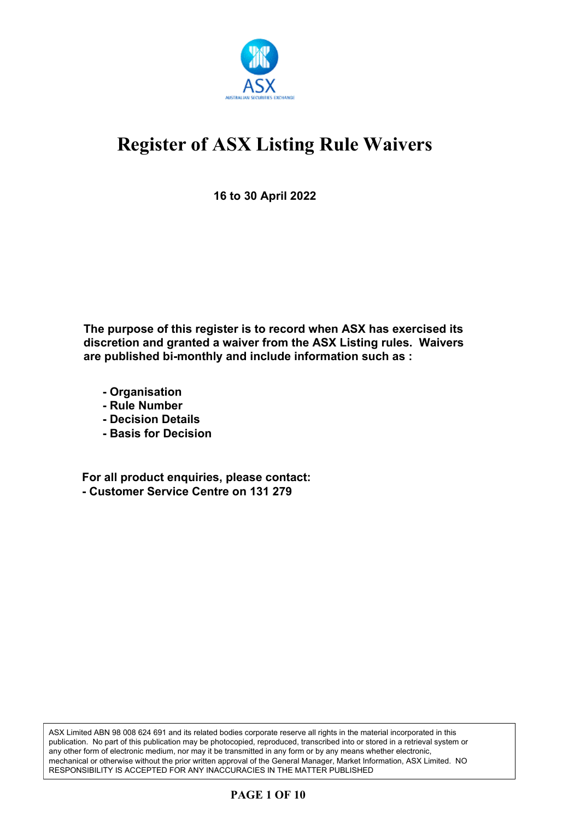

**16 to 30 April 2022**

**The purpose of this register is to record when ASX has exercised its discretion and granted a waiver from the ASX Listing rules. Waivers are published bi-monthly and include information such as :**

- **Organisation**
- **Rule Number**
- **Decision Details**
- **Basis for Decision**

**For all product enquiries, please contact: - Customer Service Centre on 131 279**

ASX Limited ABN 98 008 624 691 and its related bodies corporate reserve all rights in the material incorporated in this publication. No part of this publication may be photocopied, reproduced, transcribed into or stored in a retrieval system or any other form of electronic medium, nor may it be transmitted in any form or by any means whether electronic, mechanical or otherwise without the prior written approval of the General Manager, Market Information, ASX Limited. NO RESPONSIBILITY IS ACCEPTED FOR ANY INACCURACIES IN THE MATTER PUBLISHED

#### **PAGE 1 OF 10**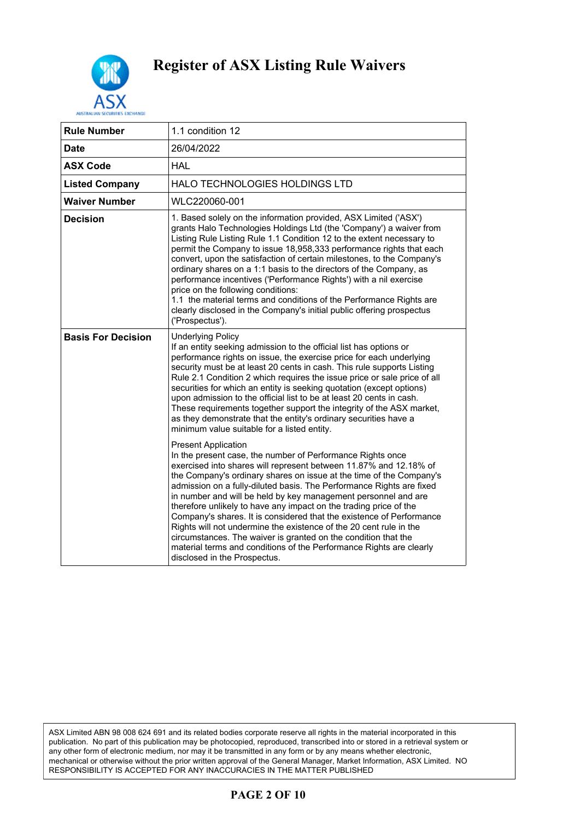

| <b>Rule Number</b>        | 1.1 condition 12                                                                                                                                                                                                                                                                                                                                                                                                                                                                                                                                                                                                                                                                                                                                                           |
|---------------------------|----------------------------------------------------------------------------------------------------------------------------------------------------------------------------------------------------------------------------------------------------------------------------------------------------------------------------------------------------------------------------------------------------------------------------------------------------------------------------------------------------------------------------------------------------------------------------------------------------------------------------------------------------------------------------------------------------------------------------------------------------------------------------|
| Date                      | 26/04/2022                                                                                                                                                                                                                                                                                                                                                                                                                                                                                                                                                                                                                                                                                                                                                                 |
| <b>ASX Code</b>           | <b>HAL</b>                                                                                                                                                                                                                                                                                                                                                                                                                                                                                                                                                                                                                                                                                                                                                                 |
| <b>Listed Company</b>     | HALO TECHNOLOGIES HOLDINGS LTD                                                                                                                                                                                                                                                                                                                                                                                                                                                                                                                                                                                                                                                                                                                                             |
| <b>Waiver Number</b>      | WLC220060-001                                                                                                                                                                                                                                                                                                                                                                                                                                                                                                                                                                                                                                                                                                                                                              |
| <b>Decision</b>           | 1. Based solely on the information provided, ASX Limited ('ASX')<br>grants Halo Technologies Holdings Ltd (the 'Company') a waiver from<br>Listing Rule Listing Rule 1.1 Condition 12 to the extent necessary to<br>permit the Company to issue 18,958,333 performance rights that each<br>convert, upon the satisfaction of certain milestones, to the Company's<br>ordinary shares on a 1:1 basis to the directors of the Company, as<br>performance incentives ('Performance Rights') with a nil exercise<br>price on the following conditions:<br>1.1 the material terms and conditions of the Performance Rights are<br>clearly disclosed in the Company's initial public offering prospectus<br>('Prospectus').                                                      |
| <b>Basis For Decision</b> | <b>Underlying Policy</b><br>If an entity seeking admission to the official list has options or<br>performance rights on issue, the exercise price for each underlying<br>security must be at least 20 cents in cash. This rule supports Listing<br>Rule 2.1 Condition 2 which requires the issue price or sale price of all<br>securities for which an entity is seeking quotation (except options)<br>upon admission to the official list to be at least 20 cents in cash.<br>These requirements together support the integrity of the ASX market,<br>as they demonstrate that the entity's ordinary securities have a<br>minimum value suitable for a listed entity.                                                                                                     |
|                           | <b>Present Application</b><br>In the present case, the number of Performance Rights once<br>exercised into shares will represent between 11.87% and 12.18% of<br>the Company's ordinary shares on issue at the time of the Company's<br>admission on a fully-diluted basis. The Performance Rights are fixed<br>in number and will be held by key management personnel and are<br>therefore unlikely to have any impact on the trading price of the<br>Company's shares. It is considered that the existence of Performance<br>Rights will not undermine the existence of the 20 cent rule in the<br>circumstances. The waiver is granted on the condition that the<br>material terms and conditions of the Performance Rights are clearly<br>disclosed in the Prospectus. |

ASX Limited ABN 98 008 624 691 and its related bodies corporate reserve all rights in the material incorporated in this publication. No part of this publication may be photocopied, reproduced, transcribed into or stored in a retrieval system or any other form of electronic medium, nor may it be transmitted in any form or by any means whether electronic, mechanical or otherwise without the prior written approval of the General Manager, Market Information, ASX Limited. NO RESPONSIBILITY IS ACCEPTED FOR ANY INACCURACIES IN THE MATTER PUBLISHED

#### **PAGE 2 OF 10**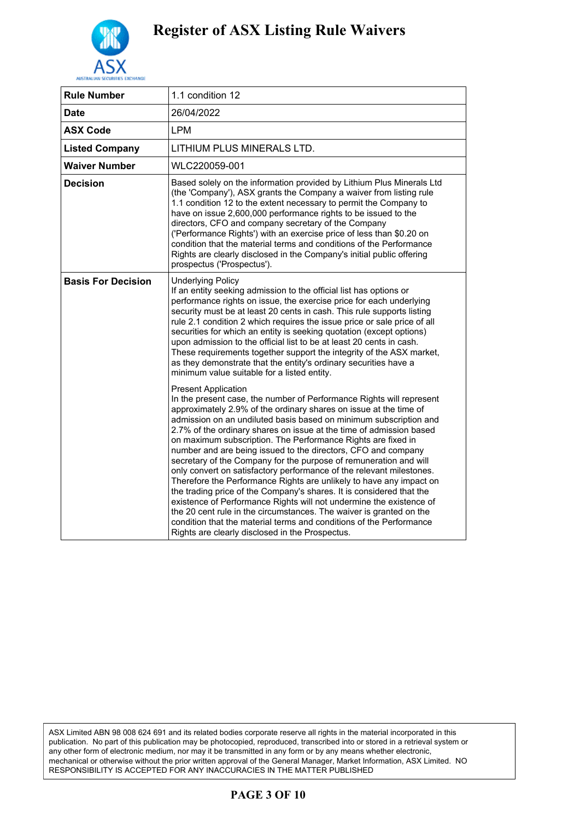

| <b>Rule Number</b>        | 1.1 condition 12                                                                                                                                                                                                                                                                                                                                                                                                                                                                                                                                                                                                                                                                                                                                                                                                                                                                                                                                                                                                         |
|---------------------------|--------------------------------------------------------------------------------------------------------------------------------------------------------------------------------------------------------------------------------------------------------------------------------------------------------------------------------------------------------------------------------------------------------------------------------------------------------------------------------------------------------------------------------------------------------------------------------------------------------------------------------------------------------------------------------------------------------------------------------------------------------------------------------------------------------------------------------------------------------------------------------------------------------------------------------------------------------------------------------------------------------------------------|
| Date                      | 26/04/2022                                                                                                                                                                                                                                                                                                                                                                                                                                                                                                                                                                                                                                                                                                                                                                                                                                                                                                                                                                                                               |
| <b>ASX Code</b>           | <b>LPM</b>                                                                                                                                                                                                                                                                                                                                                                                                                                                                                                                                                                                                                                                                                                                                                                                                                                                                                                                                                                                                               |
| <b>Listed Company</b>     | LITHIUM PLUS MINERALS LTD.                                                                                                                                                                                                                                                                                                                                                                                                                                                                                                                                                                                                                                                                                                                                                                                                                                                                                                                                                                                               |
| <b>Waiver Number</b>      | WLC220059-001                                                                                                                                                                                                                                                                                                                                                                                                                                                                                                                                                                                                                                                                                                                                                                                                                                                                                                                                                                                                            |
| <b>Decision</b>           | Based solely on the information provided by Lithium Plus Minerals Ltd<br>(the 'Company'), ASX grants the Company a waiver from listing rule<br>1.1 condition 12 to the extent necessary to permit the Company to<br>have on issue 2,600,000 performance rights to be issued to the<br>directors, CFO and company secretary of the Company<br>('Performance Rights') with an exercise price of less than \$0.20 on<br>condition that the material terms and conditions of the Performance<br>Rights are clearly disclosed in the Company's initial public offering<br>prospectus ('Prospectus').                                                                                                                                                                                                                                                                                                                                                                                                                          |
| <b>Basis For Decision</b> | <b>Underlying Policy</b><br>If an entity seeking admission to the official list has options or<br>performance rights on issue, the exercise price for each underlying<br>security must be at least 20 cents in cash. This rule supports listing<br>rule 2.1 condition 2 which requires the issue price or sale price of all<br>securities for which an entity is seeking quotation (except options)<br>upon admission to the official list to be at least 20 cents in cash.<br>These requirements together support the integrity of the ASX market,<br>as they demonstrate that the entity's ordinary securities have a<br>minimum value suitable for a listed entity.                                                                                                                                                                                                                                                                                                                                                   |
|                           | <b>Present Application</b><br>In the present case, the number of Performance Rights will represent<br>approximately 2.9% of the ordinary shares on issue at the time of<br>admission on an undiluted basis based on minimum subscription and<br>2.7% of the ordinary shares on issue at the time of admission based<br>on maximum subscription. The Performance Rights are fixed in<br>number and are being issued to the directors, CFO and company<br>secretary of the Company for the purpose of remuneration and will<br>only convert on satisfactory performance of the relevant milestones.<br>Therefore the Performance Rights are unlikely to have any impact on<br>the trading price of the Company's shares. It is considered that the<br>existence of Performance Rights will not undermine the existence of<br>the 20 cent rule in the circumstances. The waiver is granted on the<br>condition that the material terms and conditions of the Performance<br>Rights are clearly disclosed in the Prospectus. |
|                           |                                                                                                                                                                                                                                                                                                                                                                                                                                                                                                                                                                                                                                                                                                                                                                                                                                                                                                                                                                                                                          |

ASX Limited ABN 98 008 624 691 and its related bodies corporate reserve all rights in the material incorporated in this publication. No part of this publication may be photocopied, reproduced, transcribed into or stored in a retrieval system or any other form of electronic medium, nor may it be transmitted in any form or by any means whether electronic, mechanical or otherwise without the prior written approval of the General Manager, Market Information, ASX Limited. NO RESPONSIBILITY IS ACCEPTED FOR ANY INACCURACIES IN THE MATTER PUBLISHED

#### **PAGE 3 OF 10**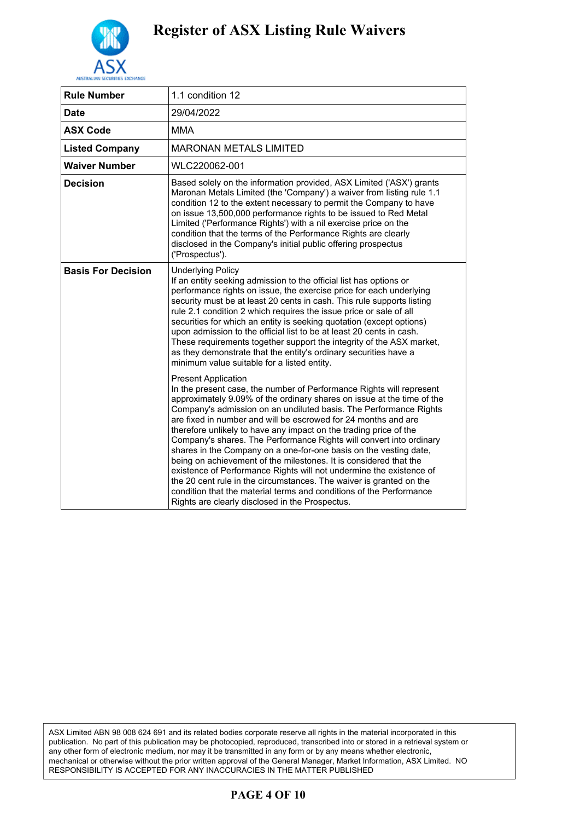

| <b>Rule Number</b>        | 1.1 condition 12                                                                                                                                                                                                                                                                                                                                                                                                                                                                                                                                                                                                                                                                                                                                                                                                                                                                  |
|---------------------------|-----------------------------------------------------------------------------------------------------------------------------------------------------------------------------------------------------------------------------------------------------------------------------------------------------------------------------------------------------------------------------------------------------------------------------------------------------------------------------------------------------------------------------------------------------------------------------------------------------------------------------------------------------------------------------------------------------------------------------------------------------------------------------------------------------------------------------------------------------------------------------------|
| Date                      | 29/04/2022                                                                                                                                                                                                                                                                                                                                                                                                                                                                                                                                                                                                                                                                                                                                                                                                                                                                        |
| <b>ASX Code</b>           | MMA                                                                                                                                                                                                                                                                                                                                                                                                                                                                                                                                                                                                                                                                                                                                                                                                                                                                               |
| <b>Listed Company</b>     | <b>MARONAN METALS LIMITED</b>                                                                                                                                                                                                                                                                                                                                                                                                                                                                                                                                                                                                                                                                                                                                                                                                                                                     |
| <b>Waiver Number</b>      | WLC220062-001                                                                                                                                                                                                                                                                                                                                                                                                                                                                                                                                                                                                                                                                                                                                                                                                                                                                     |
| <b>Decision</b>           | Based solely on the information provided, ASX Limited ('ASX') grants<br>Maronan Metals Limited (the 'Company') a waiver from listing rule 1.1<br>condition 12 to the extent necessary to permit the Company to have<br>on issue 13,500,000 performance rights to be issued to Red Metal<br>Limited ('Performance Rights') with a nil exercise price on the<br>condition that the terms of the Performance Rights are clearly<br>disclosed in the Company's initial public offering prospectus<br>('Prospectus').                                                                                                                                                                                                                                                                                                                                                                  |
| <b>Basis For Decision</b> | <b>Underlying Policy</b><br>If an entity seeking admission to the official list has options or<br>performance rights on issue, the exercise price for each underlying<br>security must be at least 20 cents in cash. This rule supports listing<br>rule 2.1 condition 2 which requires the issue price or sale of all<br>securities for which an entity is seeking quotation (except options)<br>upon admission to the official list to be at least 20 cents in cash.<br>These requirements together support the integrity of the ASX market,<br>as they demonstrate that the entity's ordinary securities have a<br>minimum value suitable for a listed entity.                                                                                                                                                                                                                  |
|                           | <b>Present Application</b><br>In the present case, the number of Performance Rights will represent<br>approximately 9.09% of the ordinary shares on issue at the time of the<br>Company's admission on an undiluted basis. The Performance Rights<br>are fixed in number and will be escrowed for 24 months and are<br>therefore unlikely to have any impact on the trading price of the<br>Company's shares. The Performance Rights will convert into ordinary<br>shares in the Company on a one-for-one basis on the vesting date,<br>being on achievement of the milestones. It is considered that the<br>existence of Performance Rights will not undermine the existence of<br>the 20 cent rule in the circumstances. The waiver is granted on the<br>condition that the material terms and conditions of the Performance<br>Rights are clearly disclosed in the Prospectus. |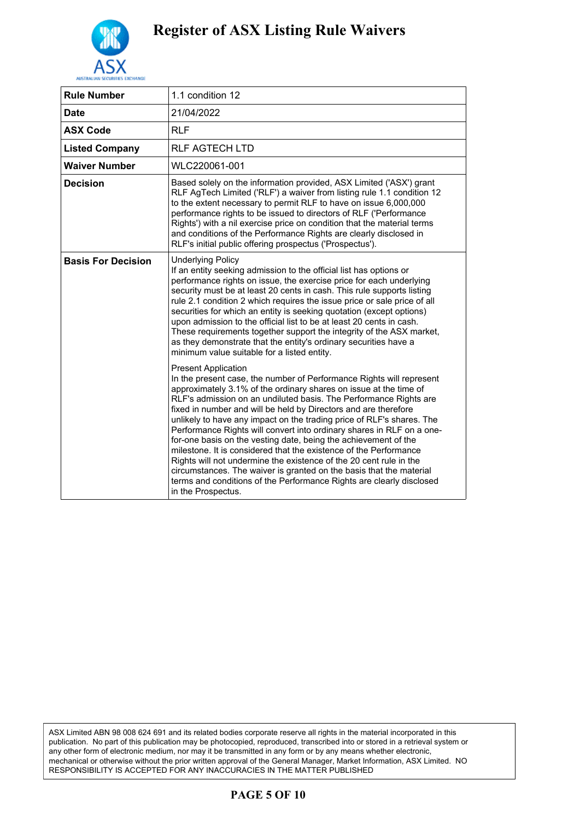

| <b>Rule Number</b>        | 1.1 condition 12                                                                                                                                                                                                                                                                                                                                                                                                                                                                                                                                                                                                                                                                                                                                                                                                                                                                                                                                                                                                                                                                                                                                                                                                                                                                    |
|---------------------------|-------------------------------------------------------------------------------------------------------------------------------------------------------------------------------------------------------------------------------------------------------------------------------------------------------------------------------------------------------------------------------------------------------------------------------------------------------------------------------------------------------------------------------------------------------------------------------------------------------------------------------------------------------------------------------------------------------------------------------------------------------------------------------------------------------------------------------------------------------------------------------------------------------------------------------------------------------------------------------------------------------------------------------------------------------------------------------------------------------------------------------------------------------------------------------------------------------------------------------------------------------------------------------------|
| <b>Date</b>               | 21/04/2022                                                                                                                                                                                                                                                                                                                                                                                                                                                                                                                                                                                                                                                                                                                                                                                                                                                                                                                                                                                                                                                                                                                                                                                                                                                                          |
| <b>ASX Code</b>           | <b>RLF</b>                                                                                                                                                                                                                                                                                                                                                                                                                                                                                                                                                                                                                                                                                                                                                                                                                                                                                                                                                                                                                                                                                                                                                                                                                                                                          |
| <b>Listed Company</b>     | RLF AGTECH LTD                                                                                                                                                                                                                                                                                                                                                                                                                                                                                                                                                                                                                                                                                                                                                                                                                                                                                                                                                                                                                                                                                                                                                                                                                                                                      |
| <b>Waiver Number</b>      | WLC220061-001                                                                                                                                                                                                                                                                                                                                                                                                                                                                                                                                                                                                                                                                                                                                                                                                                                                                                                                                                                                                                                                                                                                                                                                                                                                                       |
| <b>Decision</b>           | Based solely on the information provided, ASX Limited ('ASX') grant<br>RLF AgTech Limited ('RLF') a waiver from listing rule 1.1 condition 12<br>to the extent necessary to permit RLF to have on issue 6,000,000<br>performance rights to be issued to directors of RLF ('Performance<br>Rights') with a nil exercise price on condition that the material terms<br>and conditions of the Performance Rights are clearly disclosed in<br>RLF's initial public offering prospectus ('Prospectus').                                                                                                                                                                                                                                                                                                                                                                                                                                                                                                                                                                                                                                                                                                                                                                                  |
| <b>Basis For Decision</b> | <b>Underlying Policy</b><br>If an entity seeking admission to the official list has options or<br>performance rights on issue, the exercise price for each underlying<br>security must be at least 20 cents in cash. This rule supports listing<br>rule 2.1 condition 2 which requires the issue price or sale price of all<br>securities for which an entity is seeking quotation (except options)<br>upon admission to the official list to be at least 20 cents in cash.<br>These requirements together support the integrity of the ASX market,<br>as they demonstrate that the entity's ordinary securities have a<br>minimum value suitable for a listed entity.<br><b>Present Application</b><br>In the present case, the number of Performance Rights will represent<br>approximately 3.1% of the ordinary shares on issue at the time of<br>RLF's admission on an undiluted basis. The Performance Rights are<br>fixed in number and will be held by Directors and are therefore<br>unlikely to have any impact on the trading price of RLF's shares. The<br>Performance Rights will convert into ordinary shares in RLF on a one-<br>for-one basis on the vesting date, being the achievement of the<br>milestone. It is considered that the existence of the Performance |
|                           | Rights will not undermine the existence of the 20 cent rule in the<br>circumstances. The waiver is granted on the basis that the material<br>terms and conditions of the Performance Rights are clearly disclosed<br>in the Prospectus.                                                                                                                                                                                                                                                                                                                                                                                                                                                                                                                                                                                                                                                                                                                                                                                                                                                                                                                                                                                                                                             |

ASX Limited ABN 98 008 624 691 and its related bodies corporate reserve all rights in the material incorporated in this publication. No part of this publication may be photocopied, reproduced, transcribed into or stored in a retrieval system or any other form of electronic medium, nor may it be transmitted in any form or by any means whether electronic, mechanical or otherwise without the prior written approval of the General Manager, Market Information, ASX Limited. NO RESPONSIBILITY IS ACCEPTED FOR ANY INACCURACIES IN THE MATTER PUBLISHED

#### **PAGE 5 OF 10**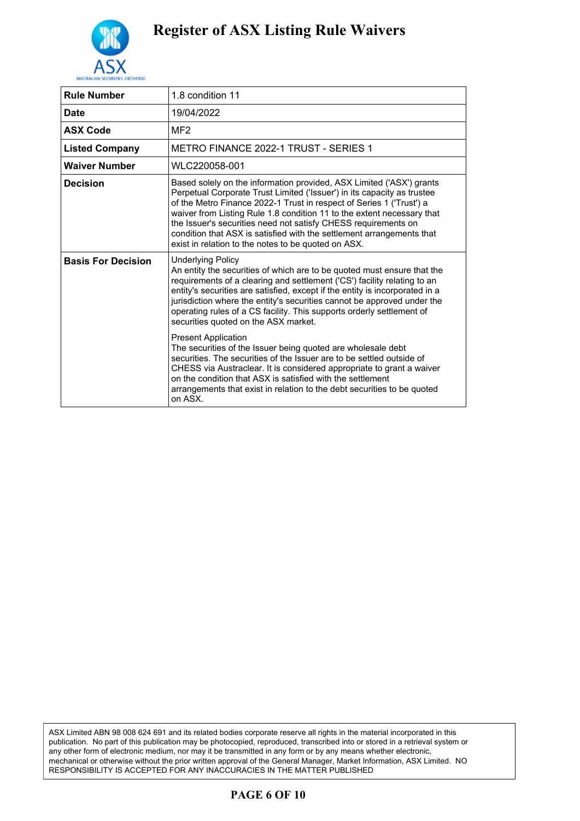

| <b>Rule Number</b>        | 1.8 condition 11                                                                                                                                                                                                                                                                                                                                                                                                                                                                                                                                                                                                                   |
|---------------------------|------------------------------------------------------------------------------------------------------------------------------------------------------------------------------------------------------------------------------------------------------------------------------------------------------------------------------------------------------------------------------------------------------------------------------------------------------------------------------------------------------------------------------------------------------------------------------------------------------------------------------------|
| <b>Date</b>               | 19/04/2022                                                                                                                                                                                                                                                                                                                                                                                                                                                                                                                                                                                                                         |
| <b>ASX Code</b>           | MF <sub>2</sub>                                                                                                                                                                                                                                                                                                                                                                                                                                                                                                                                                                                                                    |
| <b>Listed Company</b>     | <b>METRO FINANCE 2022-1 TRUST - SERIES 1</b>                                                                                                                                                                                                                                                                                                                                                                                                                                                                                                                                                                                       |
| <b>Waiver Number</b>      | WLC220058-001                                                                                                                                                                                                                                                                                                                                                                                                                                                                                                                                                                                                                      |
| <b>Decision</b>           | Based solely on the information provided, ASX Limited ('ASX') grants<br>Perpetual Corporate Trust Limited ('Issuer') in its capacity as trustee<br>of the Metro Finance 2022-1 Trust in respect of Series 1 ('Trust') a<br>waiver from Listing Rule 1.8 condition 11 to the extent necessary that<br>the Issuer's securities need not satisfy CHESS requirements on<br>condition that ASX is satisfied with the settlement arrangements that<br>exist in relation to the notes to be quoted on ASX.                                                                                                                                |
| <b>Basis For Decision</b> | <b>Underlying Policy</b><br>An entity the securities of which are to be quoted must ensure that the<br>requirements of a clearing and settlement ('CS') facility relating to an<br>entity's securities are satisfied, except if the entity is incorporated in a<br>jurisdiction where the entity's securities cannot be approved under the<br>operating rules of a CS facility. This supports orderly settlement of<br>securities quoted on the ASX market.<br><b>Present Application</b><br>The securities of the Issuer being quoted are wholesale debt<br>securities. The securities of the Issuer are to be settled outside of |
|                           | CHESS via Austraclear. It is considered appropriate to grant a waiver<br>on the condition that ASX is satisfied with the settlement<br>arrangements that exist in relation to the debt securities to be quoted<br>on ASX.                                                                                                                                                                                                                                                                                                                                                                                                          |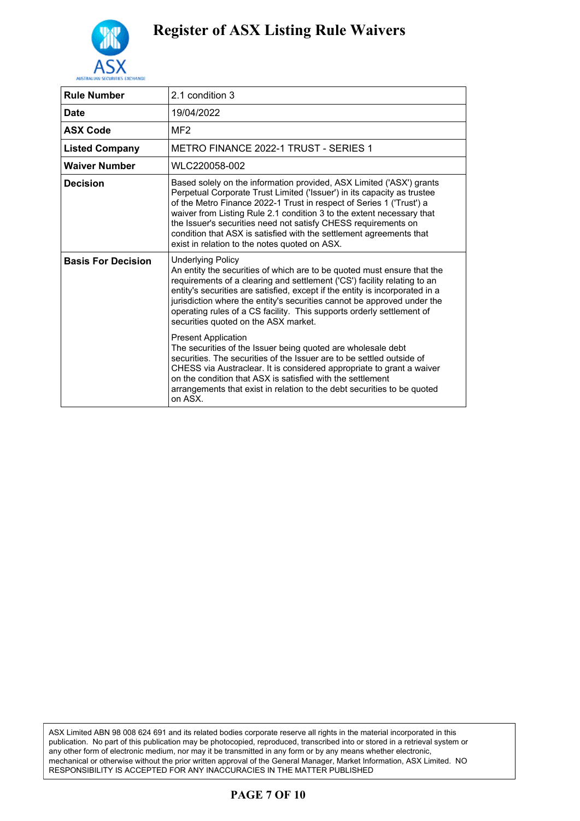

| <b>Rule Number</b>        | 2.1 condition 3                                                                                                                                                                                                                                                                                                                                                                                                                                                                                                                                                                                                             |
|---------------------------|-----------------------------------------------------------------------------------------------------------------------------------------------------------------------------------------------------------------------------------------------------------------------------------------------------------------------------------------------------------------------------------------------------------------------------------------------------------------------------------------------------------------------------------------------------------------------------------------------------------------------------|
| Date                      | 19/04/2022                                                                                                                                                                                                                                                                                                                                                                                                                                                                                                                                                                                                                  |
| <b>ASX Code</b>           | MF <sub>2</sub>                                                                                                                                                                                                                                                                                                                                                                                                                                                                                                                                                                                                             |
| <b>Listed Company</b>     | METRO FINANCE 2022-1 TRUST - SERIES 1                                                                                                                                                                                                                                                                                                                                                                                                                                                                                                                                                                                       |
| <b>Waiver Number</b>      | WLC220058-002                                                                                                                                                                                                                                                                                                                                                                                                                                                                                                                                                                                                               |
| <b>Decision</b>           | Based solely on the information provided, ASX Limited ('ASX') grants<br>Perpetual Corporate Trust Limited ('Issuer') in its capacity as trustee<br>of the Metro Finance 2022-1 Trust in respect of Series 1 ('Trust') a<br>waiver from Listing Rule 2.1 condition 3 to the extent necessary that<br>the Issuer's securities need not satisfy CHESS requirements on<br>condition that ASX is satisfied with the settlement agreements that<br>exist in relation to the notes quoted on ASX.                                                                                                                                  |
| <b>Basis For Decision</b> | Underlying Policy<br>An entity the securities of which are to be quoted must ensure that the<br>requirements of a clearing and settlement ('CS') facility relating to an<br>entity's securities are satisfied, except if the entity is incorporated in a<br>jurisdiction where the entity's securities cannot be approved under the<br>operating rules of a CS facility. This supports orderly settlement of<br>securities quoted on the ASX market.<br><b>Present Application</b><br>The securities of the Issuer being quoted are wholesale debt<br>securities. The securities of the Issuer are to be settled outside of |
|                           | CHESS via Austraclear. It is considered appropriate to grant a waiver<br>on the condition that ASX is satisfied with the settlement<br>arrangements that exist in relation to the debt securities to be quoted<br>on ASX.                                                                                                                                                                                                                                                                                                                                                                                                   |

ASX Limited ABN 98 008 624 691 and its related bodies corporate reserve all rights in the material incorporated in this publication. No part of this publication may be photocopied, reproduced, transcribed into or stored in a retrieval system or any other form of electronic medium, nor may it be transmitted in any form or by any means whether electronic, mechanical or otherwise without the prior written approval of the General Manager, Market Information, ASX Limited. NO RESPONSIBILITY IS ACCEPTED FOR ANY INACCURACIES IN THE MATTER PUBLISHED

#### **PAGE 7 OF 10**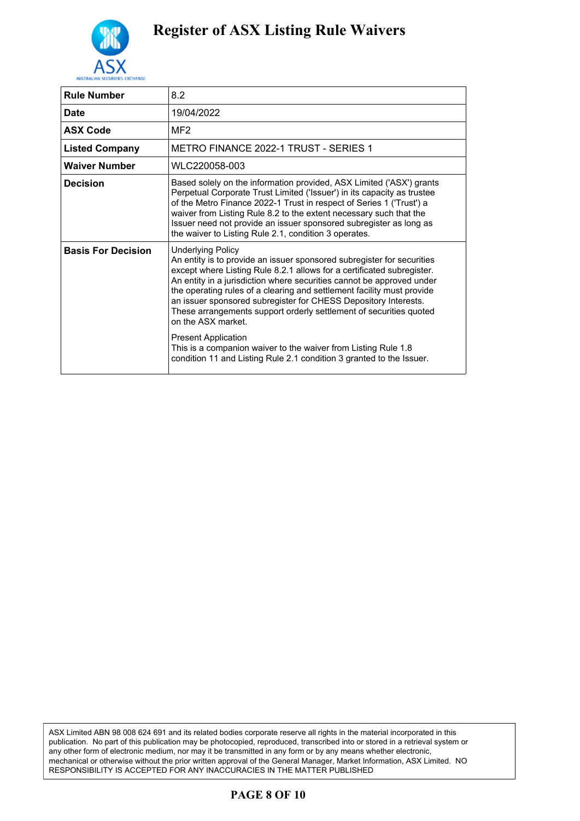

| <b>Rule Number</b>        | 8.2                                                                                                                                                                                                                                                                                                                                                                                                                                                                                                                                                                                                                                                                    |
|---------------------------|------------------------------------------------------------------------------------------------------------------------------------------------------------------------------------------------------------------------------------------------------------------------------------------------------------------------------------------------------------------------------------------------------------------------------------------------------------------------------------------------------------------------------------------------------------------------------------------------------------------------------------------------------------------------|
| <b>Date</b>               | 19/04/2022                                                                                                                                                                                                                                                                                                                                                                                                                                                                                                                                                                                                                                                             |
| <b>ASX Code</b>           | MF <sub>2</sub>                                                                                                                                                                                                                                                                                                                                                                                                                                                                                                                                                                                                                                                        |
| <b>Listed Company</b>     | <b>METRO FINANCE 2022-1 TRUST - SERIES 1</b>                                                                                                                                                                                                                                                                                                                                                                                                                                                                                                                                                                                                                           |
| <b>Waiver Number</b>      | WLC220058-003                                                                                                                                                                                                                                                                                                                                                                                                                                                                                                                                                                                                                                                          |
| Decision                  | Based solely on the information provided, ASX Limited ('ASX') grants<br>Perpetual Corporate Trust Limited ('Issuer') in its capacity as trustee<br>of the Metro Finance 2022-1 Trust in respect of Series 1 ('Trust') a<br>waiver from Listing Rule 8.2 to the extent necessary such that the<br>Issuer need not provide an issuer sponsored subregister as long as<br>the waiver to Listing Rule 2.1, condition 3 operates.                                                                                                                                                                                                                                           |
| <b>Basis For Decision</b> | <b>Underlying Policy</b><br>An entity is to provide an issuer sponsored subregister for securities<br>except where Listing Rule 8.2.1 allows for a certificated subregister.<br>An entity in a jurisdiction where securities cannot be approved under<br>the operating rules of a clearing and settlement facility must provide<br>an issuer sponsored subregister for CHESS Depository Interests.<br>These arrangements support orderly settlement of securities quoted<br>on the ASX market.<br><b>Present Application</b><br>This is a companion waiver to the waiver from Listing Rule 1.8<br>condition 11 and Listing Rule 2.1 condition 3 granted to the Issuer. |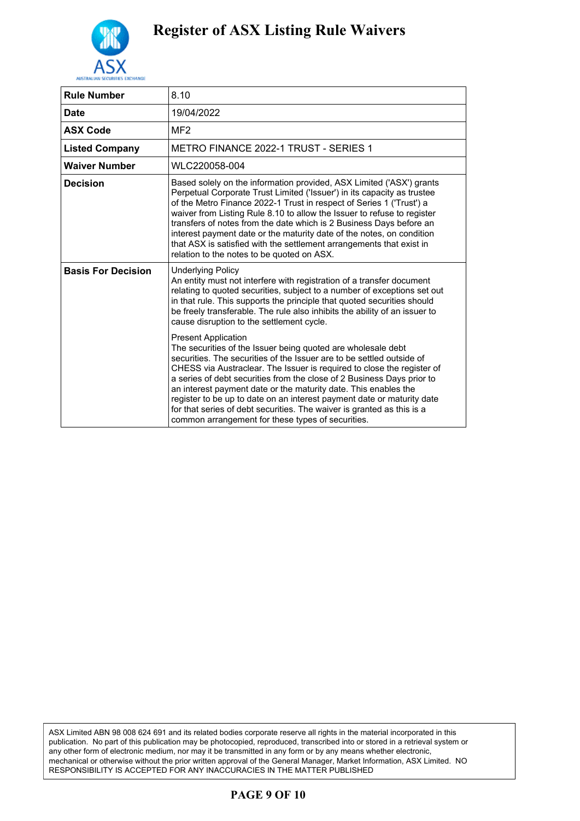

| <b>Rule Number</b>        | 8.10                                                                                                                                                                                                                                                                                                                                                                                                                                                                                                                                                                                                |
|---------------------------|-----------------------------------------------------------------------------------------------------------------------------------------------------------------------------------------------------------------------------------------------------------------------------------------------------------------------------------------------------------------------------------------------------------------------------------------------------------------------------------------------------------------------------------------------------------------------------------------------------|
| <b>Date</b>               | 19/04/2022                                                                                                                                                                                                                                                                                                                                                                                                                                                                                                                                                                                          |
| <b>ASX Code</b>           | MF <sub>2</sub>                                                                                                                                                                                                                                                                                                                                                                                                                                                                                                                                                                                     |
| <b>Listed Company</b>     | METRO FINANCE 2022-1 TRUST - SERIES 1                                                                                                                                                                                                                                                                                                                                                                                                                                                                                                                                                               |
| <b>Waiver Number</b>      | WLC220058-004                                                                                                                                                                                                                                                                                                                                                                                                                                                                                                                                                                                       |
| <b>Decision</b>           | Based solely on the information provided, ASX Limited ('ASX') grants<br>Perpetual Corporate Trust Limited ('Issuer') in its capacity as trustee<br>of the Metro Finance 2022-1 Trust in respect of Series 1 ('Trust') a<br>waiver from Listing Rule 8.10 to allow the Issuer to refuse to register<br>transfers of notes from the date which is 2 Business Days before an<br>interest payment date or the maturity date of the notes, on condition<br>that ASX is satisfied with the settlement arrangements that exist in<br>relation to the notes to be quoted on ASX.                            |
| <b>Basis For Decision</b> | <b>Underlying Policy</b><br>An entity must not interfere with registration of a transfer document<br>relating to quoted securities, subject to a number of exceptions set out<br>in that rule. This supports the principle that quoted securities should<br>be freely transferable. The rule also inhibits the ability of an issuer to<br>cause disruption to the settlement cycle.                                                                                                                                                                                                                 |
|                           | <b>Present Application</b><br>The securities of the Issuer being quoted are wholesale debt<br>securities. The securities of the Issuer are to be settled outside of<br>CHESS via Austraclear. The Issuer is required to close the register of<br>a series of debt securities from the close of 2 Business Days prior to<br>an interest payment date or the maturity date. This enables the<br>register to be up to date on an interest payment date or maturity date<br>for that series of debt securities. The waiver is granted as this is a<br>common arrangement for these types of securities. |